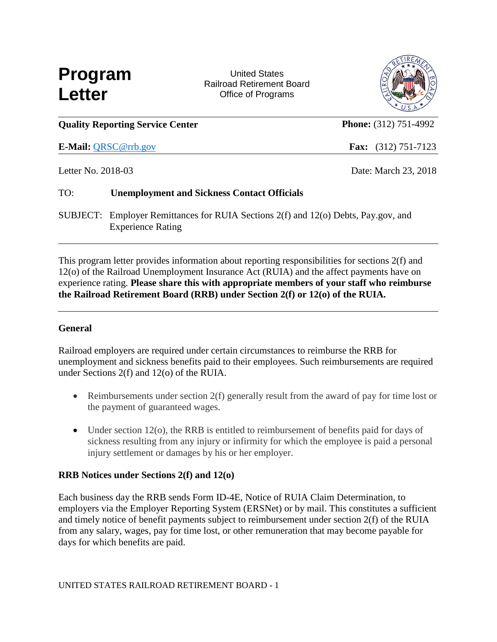

 United States Railroad Retirement Board Office of Programs



|                    | <b>Quality Reporting Service Center</b>                                                                        | <b>Phone:</b> (312) 751-4992 |                              |  |
|--------------------|----------------------------------------------------------------------------------------------------------------|------------------------------|------------------------------|--|
|                    | <b>E-Mail: QRSC@rrb.gov</b>                                                                                    |                              | <b>Fax:</b> $(312)$ 751-7123 |  |
| Letter No. 2018-03 |                                                                                                                |                              | Date: March 23, 2018         |  |
| TO:                | <b>Unemployment and Sickness Contact Officials</b>                                                             |                              |                              |  |
|                    | SUBJECT: Employer Remittances for RUIA Sections 2(f) and 12(o) Debts, Pay.gov, and<br><b>Experience Rating</b> |                              |                              |  |

This program letter provides information about reporting responsibilities for sections 2(f) and 12(o) of the Railroad Unemployment Insurance Act (RUIA) and the affect payments have on experience rating. **Please share this with appropriate members of your staff who reimburse the Railroad Retirement Board (RRB) under Section 2(f) or 12(o) of the RUIA.**

### **General**

Railroad employers are required under certain circumstances to reimburse the RRB for unemployment and sickness benefits paid to their employees. Such reimbursements are required under Sections 2(f) and 12(o) of the RUIA.

- Reimbursements under section 2(f) generally result from the award of pay for time lost or the payment of guaranteed wages.
- Under section 12(o), the RRB is entitled to reimbursement of benefits paid for days of sickness resulting from any injury or infirmity for which the employee is paid a personal injury settlement or damages by his or her employer.

### **RRB Notices under Sections 2(f) and 12(o)**

Each business day the RRB sends Form ID-4E, Notice of RUIA Claim Determination, to employers via the Employer Reporting System (ERSNet) or by mail. This constitutes a sufficient and timely notice of benefit payments subject to reimbursement under section 2(f) of the RUIA from any salary, wages, pay for time lost, or other remuneration that may become payable for days for which benefits are paid.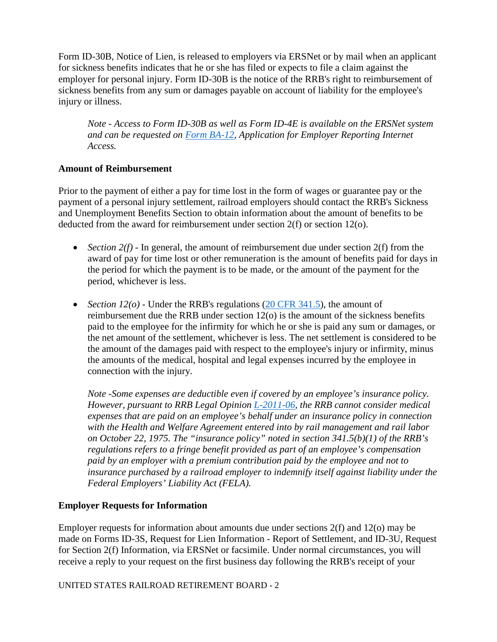Form ID-30B, Notice of Lien, is released to employers via ERSNet or by mail when an applicant for sickness benefits indicates that he or she has filed or expects to file a claim against the employer for personal injury. Form ID-30B is the notice of the RRB's right to reimbursement of sickness benefits from any sum or damages payable on account of liability for the employee's injury or illness.

*Note - Access to Form ID-30B as well as Form ID-4E is available on the ERSNet system and can be requested on [Form BA-12,](https://www.rrb.gov/Employer/Forms/BA-12) Application for Employer Reporting Internet Access.*

## **Amount of Reimbursement**

Prior to the payment of either a pay for time lost in the form of wages or guarantee pay or the payment of a personal injury settlement, railroad employers should contact the RRB's Sickness and Unemployment Benefits Section to obtain information about the amount of benefits to be deducted from the award for reimbursement under section 2(f) or section 12(o).

- *Section 2(f)* In general, the amount of reimbursement due under section 2(f) from the award of pay for time lost or other remuneration is the amount of benefits paid for days in the period for which the payment is to be made, or the amount of the payment for the period, whichever is less.
- *Section 12(o)* Under the RRB's regulations [\(20 CFR 341.5\)](https://www.ecfr.gov/cgi-bin/text-idx?SID=c897fe91852554248ab0bab06b9fb853&mc=true&node=se20.1.341_15&rgn=div8), the amount of reimbursement due the RRB under section 12(o) is the amount of the sickness benefits paid to the employee for the infirmity for which he or she is paid any sum or damages, or the net amount of the settlement, whichever is less. The net settlement is considered to be the amount of the damages paid with respect to the employee's injury or infirmity, minus the amounts of the medical, hospital and legal expenses incurred by the employee in connection with the injury.

*Note -Some expenses are deductible even if covered by an employee's insurance policy. However, pursuant to RRB Legal Opinion [L-2011-06,](https://legallibrary.rrb.gov/Handlers/hndlrDocument.ashx?repoid=KGI6M0%2fK96A%3d&repotitle=6MtuqkyvDusMomGS2ptK473fEOkfC12PJKP4QLbZnSwi%2f%2fF4PXXpNABWM%2fUefHEfkzXML8eFwms%3d) the RRB cannot consider medical expenses that are paid on an employee's behalf under an insurance policy in connection with the Health and Welfare Agreement entered into by rail management and rail labor on October 22, 1975. The "insurance policy" noted in section 341.5(b)(1) of the RRB's regulations refers to a fringe benefit provided as part of an employee's compensation paid by an employer with a premium contribution paid by the employee and not to insurance purchased by a railroad employer to indemnify itself against liability under the Federal Employers' Liability Act (FELA).*

# **Employer Requests for Information**

Employer requests for information about amounts due under sections 2(f) and 12(o) may be made on Forms ID-3S, Request for Lien Information - Report of Settlement, and ID-3U, Request for Section 2(f) Information, via ERSNet or facsimile. Under normal circumstances, you will receive a reply to your request on the first business day following the RRB's receipt of your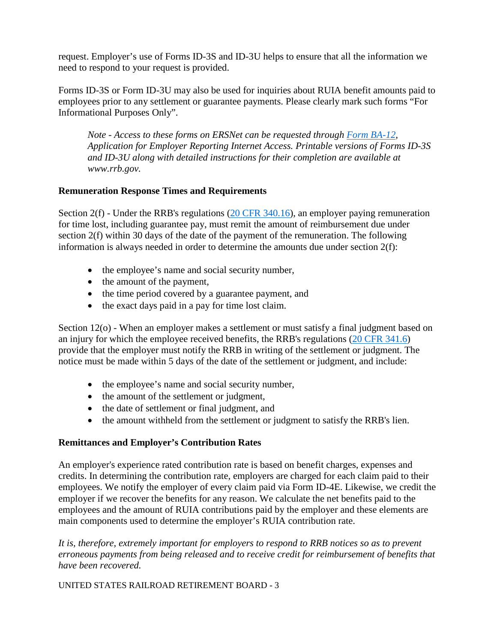request. Employer's use of Forms ID-3S and ID-3U helps to ensure that all the information we need to respond to your request is provided.

Forms ID-3S or Form ID-3U may also be used for inquiries about RUIA benefit amounts paid to employees prior to any settlement or guarantee payments. Please clearly mark such forms "For Informational Purposes Only".

*Note - Access to these forms on ERSNet can be requested through [Form BA-12,](https://www.rrb.gov/Employer/Forms/BA-12) Application for Employer Reporting Internet Access. Printable versions of Forms ID-3S and ID-3U along with detailed instructions for their completion are available at www.rrb.gov.* 

### **Remuneration Response Times and Requirements**

Section 2(f) - Under the RRB's regulations [\(20 CFR 340.16\)](https://www.ecfr.gov/cgi-bin/text-idx?SID=c897fe91852554248ab0bab06b9fb853&mc=true&node=se20.1.340_116&rgn=div8), an employer paying remuneration for time lost, including guarantee pay, must remit the amount of reimbursement due under section 2(f) within 30 days of the date of the payment of the remuneration. The following information is always needed in order to determine the amounts due under section 2(f):

- the employee's name and social security number,
- the amount of the payment,
- the time period covered by a guarantee payment, and
- the exact days paid in a pay for time lost claim.

Section 12(o) - When an employer makes a settlement or must satisfy a final judgment based on an injury for which the employee received benefits, the RRB's regulations [\(20 CFR 341.6\)](https://www.ecfr.gov/cgi-bin/text-idx?SID=c897fe91852554248ab0bab06b9fb853&mc=true&node=se20.1.341_16&rgn=div8) provide that the employer must notify the RRB in writing of the settlement or judgment. The notice must be made within 5 days of the date of the settlement or judgment, and include:

- the employee's name and social security number,
- the amount of the settlement or judgment,
- the date of settlement or final judgment, and
- the amount withheld from the settlement or judgment to satisfy the RRB's lien.

### **Remittances and Employer's Contribution Rates**

An employer's experience rated contribution rate is based on benefit charges, expenses and credits. In determining the contribution rate, employers are charged for each claim paid to their employees. We notify the employer of every claim paid via Form ID-4E. Likewise, we credit the employer if we recover the benefits for any reason. We calculate the net benefits paid to the employees and the amount of RUIA contributions paid by the employer and these elements are main components used to determine the employer's RUIA contribution rate.

*It is, therefore, extremely important for employers to respond to RRB notices so as to prevent erroneous payments from being released and to receive credit for reimbursement of benefits that have been recovered.*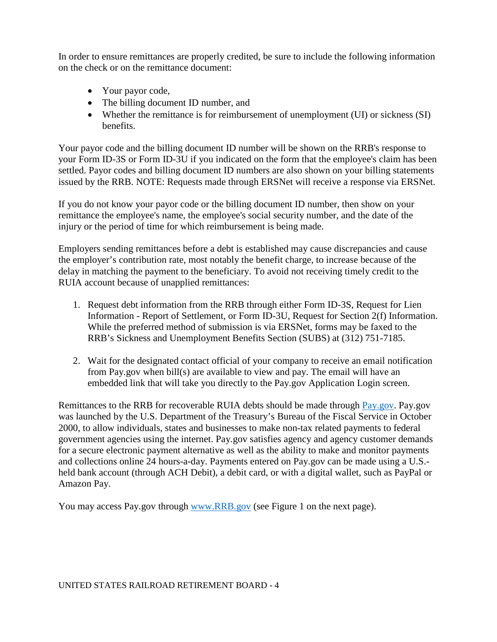In order to ensure remittances are properly credited, be sure to include the following information on the check or on the remittance document:

- Your payor code,
- The billing document ID number, and
- Whether the remittance is for reimbursement of unemployment (UI) or sickness (SI) benefits.

Your payor code and the billing document ID number will be shown on the RRB's response to your Form ID-3S or Form ID-3U if you indicated on the form that the employee's claim has been settled. Payor codes and billing document ID numbers are also shown on your billing statements issued by the RRB. NOTE: Requests made through ERSNet will receive a response via ERSNet.

If you do not know your payor code or the billing document ID number, then show on your remittance the employee's name, the employee's social security number, and the date of the injury or the period of time for which reimbursement is being made.

Employers sending remittances before a debt is established may cause discrepancies and cause the employer's contribution rate, most notably the benefit charge, to increase because of the delay in matching the payment to the beneficiary. To avoid not receiving timely credit to the RUIA account because of unapplied remittances:

- 1. Request debt information from the RRB through either Form ID-3S, Request for Lien Information - Report of Settlement, or Form ID-3U, Request for Section 2(f) Information. While the preferred method of submission is via ERSNet, forms may be faxed to the RRB's Sickness and Unemployment Benefits Section (SUBS) at (312) 751-7185.
- 2. Wait for the designated contact official of your company to receive an email notification from Pay.gov when bill(s) are available to view and pay. The email will have an embedded link that will take you directly to the Pay.gov Application Login screen.

Remittances to the RRB for recoverable RUIA debts should be made through [Pay.gov.](https://www.pay.gov/public/home) Pay.gov was launched by the U.S. Department of the Treasury's Bureau of the Fiscal Service in October 2000, to allow individuals, states and businesses to make non-tax related payments to federal government agencies using the internet. Pay.gov satisfies agency and agency customer demands for a secure electronic payment alternative as well as the ability to make and monitor payments and collections online 24 hours-a-day. Payments entered on Pay.gov can be made using a U.S. held bank account (through ACH Debit), a debit card, or with a digital wallet, such as PayPal or Amazon Pay.

You may access Pay.gov through [www.RRB.gov](http://www.rrb.gov/) (see Figure 1 on the next page).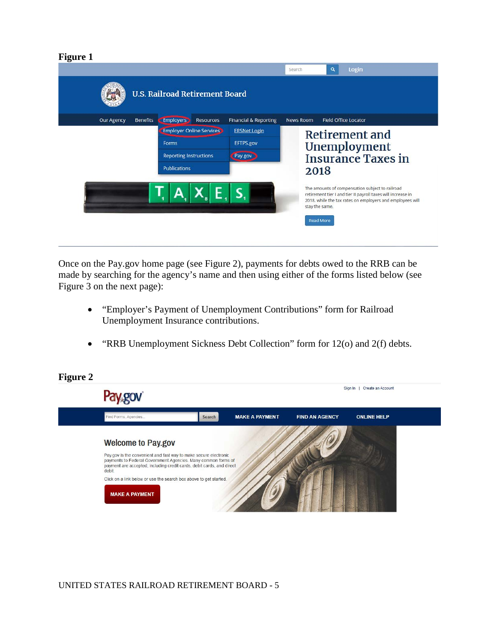#### **Figure 1**

| Login<br>$\alpha$<br>Search<br><b>U.S. Railroad Retirement Board</b> |                 |                                                                       |                                 |                                  |                  |                                    |                                                                                                                                                                              |  |  |
|----------------------------------------------------------------------|-----------------|-----------------------------------------------------------------------|---------------------------------|----------------------------------|------------------|------------------------------------|------------------------------------------------------------------------------------------------------------------------------------------------------------------------------|--|--|
| Our Agency                                                           | <b>Benefits</b> | <b>Employers</b>                                                      | <b>Resources</b>                | <b>Financial &amp; Reporting</b> | <b>News Room</b> |                                    | <b>Field Office Locator</b>                                                                                                                                                  |  |  |
|                                                                      |                 |                                                                       | <b>Employer Online Services</b> | <b>ERSNet Login</b>              |                  | Retirement and                     |                                                                                                                                                                              |  |  |
|                                                                      |                 | Forms                                                                 |                                 | EFTPS.gov                        | Unemployment     |                                    |                                                                                                                                                                              |  |  |
|                                                                      |                 | <b>Reporting Instructions</b><br>Pay.gov<br><b>Insurance Taxes in</b> |                                 |                                  |                  |                                    |                                                                                                                                                                              |  |  |
|                                                                      |                 | <b>Publications</b><br>2018                                           |                                 |                                  |                  |                                    |                                                                                                                                                                              |  |  |
|                                                                      |                 |                                                                       |                                 |                                  |                  | stay the same.<br><b>Read More</b> | The amounts of compensation subject to railroad<br>retirement tier I and tier II payroll taxes will increase in<br>2018, while the tax rates on employers and employees will |  |  |

Once on the Pay.gov home page (see Figure 2), payments for debts owed to the RRB can be made by searching for the agency's name and then using either of the forms listed below (see Figure 3 on the next page):

- "Employer's Payment of Unemployment Contributions" form for Railroad Unemployment Insurance contributions.
- "RRB Unemployment Sickness Debt Collection" form for 12(o) and 2(f) debts.

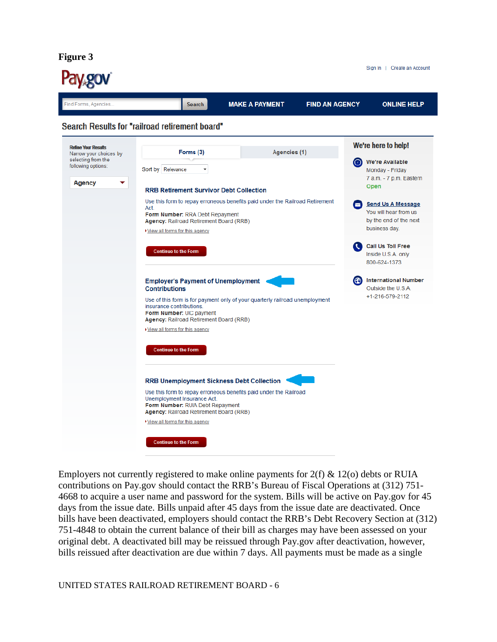**Figure 3**



Employers not currently registered to make online payments for  $2(f) \& 12(o)$  debts or RUIA contributions on Pay.gov should contact the RRB's Bureau of Fiscal Operations at (312) 751- 4668 to acquire a user name and password for the system. Bills will be active on Pay.gov for 45 days from the issue date. Bills unpaid after 45 days from the issue date are deactivated. Once bills have been deactivated, employers should contact the RRB's Debt Recovery Section at (312) 751-4848 to obtain the current balance of their bill as charges may have been assessed on your original debt. A deactivated bill may be reissued through Pay.gov after deactivation, however, bills reissued after deactivation are due within 7 days. All payments must be made as a single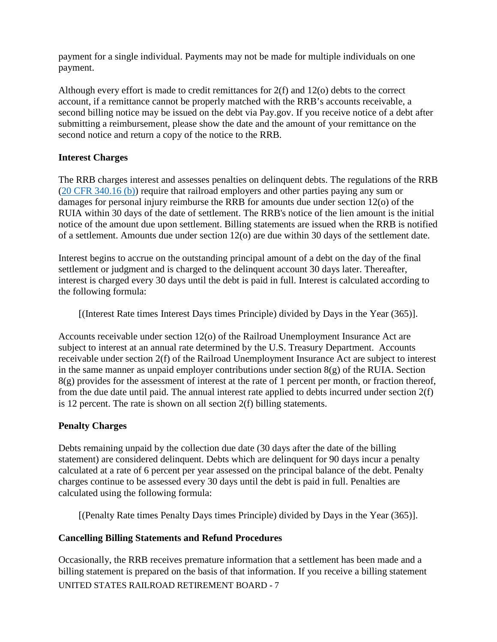payment for a single individual. Payments may not be made for multiple individuals on one payment.

Although every effort is made to credit remittances for 2(f) and 12(o) debts to the correct account, if a remittance cannot be properly matched with the RRB's accounts receivable, a second billing notice may be issued on the debt via Pay.gov. If you receive notice of a debt after submitting a reimbursement, please show the date and the amount of your remittance on the second notice and return a copy of the notice to the RRB.

### **Interest Charges**

The RRB charges interest and assesses penalties on delinquent debts. The regulations of the RRB [\(20 CFR 340.16 \(b\)\)](https://www.ecfr.gov/cgi-bin/text-idx?SID=c6b80e29b75c9cd468689e86b58f1559&mc=true&node=se20.1.340_116&rgn=div8) require that railroad employers and other parties paying any sum or damages for personal injury reimburse the RRB for amounts due under section 12(o) of the RUIA within 30 days of the date of settlement. The RRB's notice of the lien amount is the initial notice of the amount due upon settlement. Billing statements are issued when the RRB is notified of a settlement. Amounts due under section 12(o) are due within 30 days of the settlement date.

Interest begins to accrue on the outstanding principal amount of a debt on the day of the final settlement or judgment and is charged to the delinquent account 30 days later. Thereafter, interest is charged every 30 days until the debt is paid in full. Interest is calculated according to the following formula:

[(Interest Rate times Interest Days times Principle) divided by Days in the Year (365)].

Accounts receivable under section 12(o) of the Railroad Unemployment Insurance Act are subject to interest at an annual rate determined by the U.S. Treasury Department. Accounts receivable under section 2(f) of the Railroad Unemployment Insurance Act are subject to interest in the same manner as unpaid employer contributions under section  $8(g)$  of the RUIA. Section  $8(g)$  provides for the assessment of interest at the rate of 1 percent per month, or fraction thereof, from the due date until paid. The annual interest rate applied to debts incurred under section 2(f) is 12 percent. The rate is shown on all section 2(f) billing statements.

### **Penalty Charges**

Debts remaining unpaid by the collection due date (30 days after the date of the billing statement) are considered delinquent. Debts which are delinquent for 90 days incur a penalty calculated at a rate of 6 percent per year assessed on the principal balance of the debt. Penalty charges continue to be assessed every 30 days until the debt is paid in full. Penalties are calculated using the following formula:

[(Penalty Rate times Penalty Days times Principle) divided by Days in the Year (365)].

# **Cancelling Billing Statements and Refund Procedures**

UNITED STATES RAILROAD RETIREMENT BOARD - 7 Occasionally, the RRB receives premature information that a settlement has been made and a billing statement is prepared on the basis of that information. If you receive a billing statement